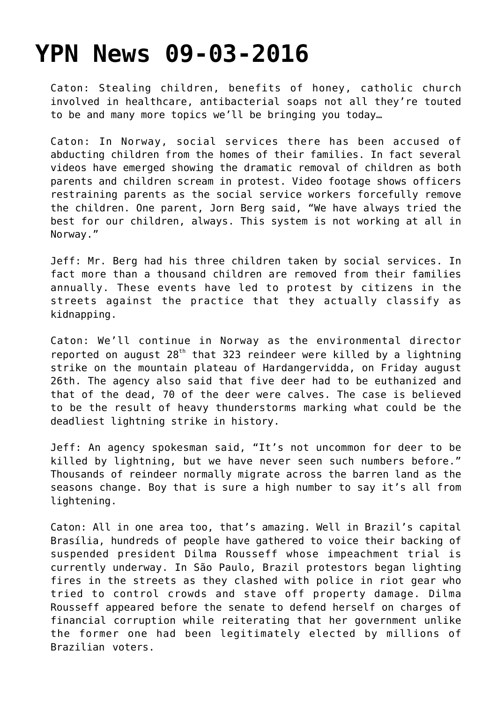## **[YPN News 09-03-2016](https://yahwehsbranch.com/ypn-news-09-03-2016/)**

Caton: Stealing children, benefits of honey, catholic church involved in healthcare, antibacterial soaps not all they're touted to be and many more topics we'll be bringing you today…

Caton: In Norway, social services there has been accused of abducting children from the homes of their families. In fact several videos have emerged showing the dramatic removal of children as both parents and children scream in protest. Video footage shows officers restraining parents as the social service workers forcefully remove the children. One parent, Jorn Berg said, "We have always tried the best for our children, always. This system is not working at all in Norway."

Jeff: Mr. Berg had his three children taken by social services. In fact more than a thousand children are removed from their families annually. These events have led to protest by citizens in the streets against the practice that they actually classify as kidnapping.

Caton: We'll continue in Norway as the environmental director reported on august  $28<sup>th</sup>$  that 323 reindeer were killed by a lightning strike on the mountain plateau of Hardangervidda, on Friday august 26th. The agency also said that five deer had to be euthanized and that of the dead, 70 of the deer were calves. The case is believed to be the result of heavy thunderstorms marking what could be the deadliest lightning strike in history.

Jeff: An agency spokesman said, "It's not uncommon for deer to be killed by lightning, but we have never seen such numbers before." Thousands of reindeer normally migrate across the barren land as the seasons change. Boy that is sure a high number to say it's all from lightening.

Caton: All in one area too, that's amazing. Well in Brazil's capital Brasília, hundreds of people have gathered to voice their backing of suspended president Dilma Rousseff whose impeachment trial is currently underway. In São Paulo, Brazil protestors began lighting fires in the streets as they clashed with police in riot gear who tried to control crowds and stave off property damage. Dilma Rousseff appeared before the senate to defend herself on charges of financial corruption while reiterating that her government unlike the former one had been legitimately elected by millions of Brazilian voters.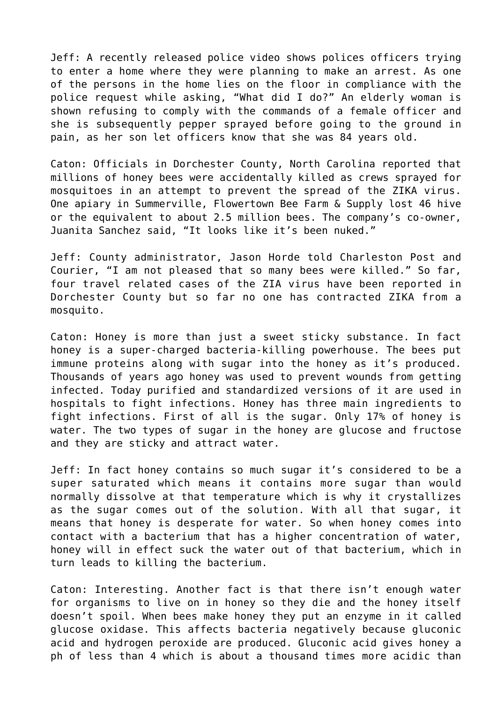Jeff: A recently released police video shows polices officers trying to enter a home where they were planning to make an arrest. As one of the persons in the home lies on the floor in compliance with the police request while asking, "What did I do?" An elderly woman is shown refusing to comply with the commands of a female officer and she is subsequently pepper sprayed before going to the ground in pain, as her son let officers know that she was 84 years old.

Caton: Officials in Dorchester County, North Carolina reported that millions of honey bees were accidentally killed as crews sprayed for mosquitoes in an attempt to prevent the spread of the ZIKA virus. One apiary in Summerville, Flowertown Bee Farm & Supply lost 46 hive or the equivalent to about 2.5 million bees. The company's co-owner, Juanita Sanchez said, "It looks like it's been nuked."

Jeff: County administrator, Jason Horde told Charleston Post and Courier, "I am not pleased that so many bees were killed." So far, four travel related cases of the ZIA virus have been reported in Dorchester County but so far no one has contracted ZIKA from a mosquito.

Caton: Honey is more than just a sweet sticky substance. In fact honey is a super-charged bacteria-killing powerhouse. The bees put immune proteins along with sugar into the honey as it's produced. Thousands of years ago honey was used to prevent wounds from getting infected. Today purified and standardized versions of it are used in hospitals to fight infections. Honey has three main ingredients to fight infections. First of all is the sugar. Only 17% of honey is water. The two types of sugar in the honey are glucose and fructose and they are sticky and attract water.

Jeff: In fact honey contains so much sugar it's considered to be a super saturated which means it contains more sugar than would normally dissolve at that temperature which is why it crystallizes as the sugar comes out of the solution. With all that sugar, it means that honey is desperate for water. So when honey comes into contact with a bacterium that has a higher concentration of water, honey will in effect suck the water out of that bacterium, which in turn leads to killing the bacterium.

Caton: Interesting. Another fact is that there isn't enough water for organisms to live on in honey so they die and the honey itself doesn't spoil. When bees make honey they put an enzyme in it called glucose oxidase. This affects bacteria negatively because gluconic acid and hydrogen peroxide are produced. Gluconic acid gives honey a ph of less than 4 which is about a thousand times more acidic than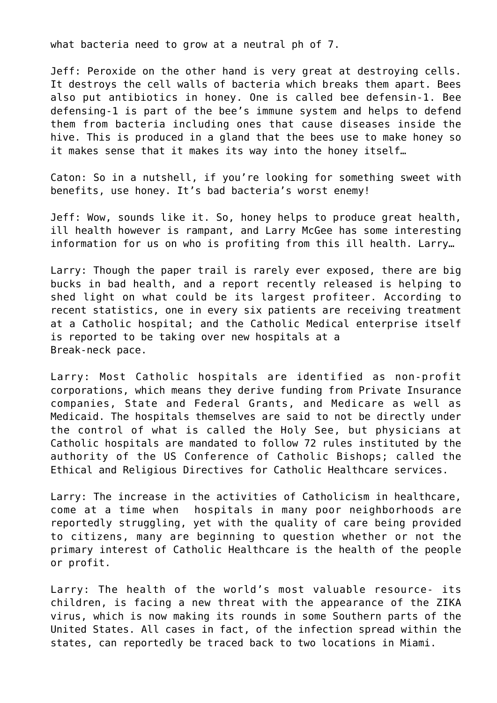what bacteria need to grow at a neutral ph of 7.

Jeff: Peroxide on the other hand is very great at destroying cells. It destroys the cell walls of bacteria which breaks them apart. Bees also put antibiotics in honey. One is called bee defensin-1. Bee defensing-1 is part of the bee's immune system and helps to defend them from bacteria including ones that cause diseases inside the hive. This is produced in a gland that the bees use to make honey so it makes sense that it makes its way into the honey itself…

Caton: So in a nutshell, if you're looking for something sweet with benefits, use honey. It's bad bacteria's worst enemy!

Jeff: Wow, sounds like it. So, honey helps to produce great health, ill health however is rampant, and Larry McGee has some interesting information for us on who is profiting from this ill health. Larry…

Larry: Though the paper trail is rarely ever exposed, there are big bucks in bad health, and a report recently released is helping to shed light on what could be its largest profiteer. According to recent statistics, one in every six patients are receiving treatment at a Catholic hospital; and the Catholic Medical enterprise itself is reported to be taking over new hospitals at a Break-neck pace.

Larry: Most Catholic hospitals are identified as non-profit corporations, which means they derive funding from Private Insurance companies, State and Federal Grants, and Medicare as well as Medicaid. The hospitals themselves are said to not be directly under the control of what is called the Holy See, but physicians at Catholic hospitals are mandated to follow 72 rules instituted by the authority of the US Conference of Catholic Bishops; called the Ethical and Religious Directives for Catholic Healthcare services.

Larry: The increase in the activities of Catholicism in healthcare, come at a time when hospitals in many poor neighborhoods are reportedly struggling, yet with the quality of care being provided to citizens, many are beginning to question whether or not the primary interest of Catholic Healthcare is the health of the people or profit.

Larry: The health of the world's most valuable resource- its children, is facing a new threat with the appearance of the ZIKA virus, which is now making its rounds in some Southern parts of the United States. All cases in fact, of the infection spread within the states, can reportedly be traced back to two locations in Miami.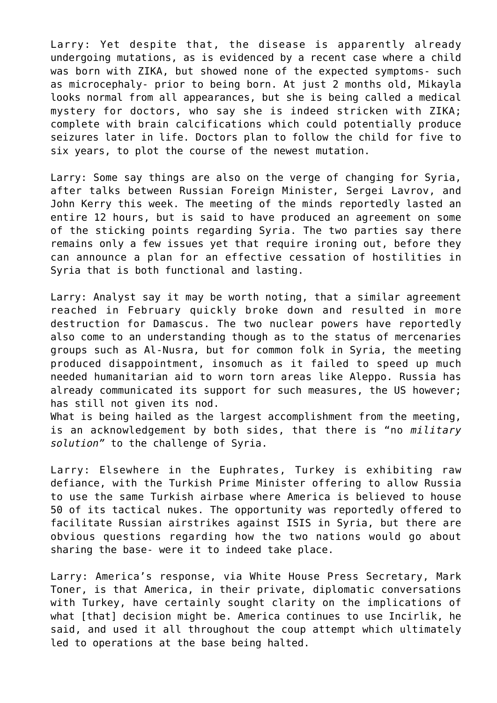Larry: Yet despite that, the disease is apparently already undergoing mutations, as is evidenced by a recent case where a child was born with ZIKA, but showed none of the expected symptoms- such as microcephaly- prior to being born. At just 2 months old, Mikayla looks normal from all appearances, but she is being called a medical mystery for doctors, who say she is indeed stricken with ZIKA; complete with brain calcifications which could potentially produce seizures later in life. Doctors plan to follow the child for five to six years, to plot the course of the newest mutation.

Larry: Some say things are also on the verge of changing for Syria, after talks between Russian Foreign Minister, Sergei Lavrov, and John Kerry this week. The meeting of the minds reportedly lasted an entire 12 hours, but is said to have produced an agreement on some of the sticking points regarding Syria. The two parties say there remains only a few issues yet that require ironing out, before they can announce a plan for an effective cessation of hostilities in Syria that is both functional and lasting.

Larry: Analyst say it may be worth noting, that a similar agreement reached in February quickly broke down and resulted in more destruction for Damascus. The two nuclear powers have reportedly also come to an understanding though as to the status of mercenaries groups such as Al-Nusra, but for common folk in Syria, the meeting produced disappointment, insomuch as it failed to speed up much needed humanitarian aid to worn torn areas like Aleppo. Russia has already communicated its support for such measures, the US however; has still not given its nod.

What is being hailed as the largest accomplishment from the meeting, is an acknowledgement by both sides, that there is "no *military solution"* to the challenge of Syria.

Larry: Elsewhere in the Euphrates, Turkey is exhibiting raw defiance, with the Turkish Prime Minister offering to allow Russia to use the same Turkish airbase where America is believed to house 50 of its tactical nukes. The opportunity was reportedly offered to facilitate Russian airstrikes against ISIS in Syria, but there are obvious questions regarding how the two nations would go about sharing the base- were it to indeed take place.

Larry: America's response, via White House Press Secretary, Mark Toner, is that America, in their private, diplomatic conversations with Turkey, have certainly sought clarity on the implications of what [that] decision might be. America continues to use Incirlik, he said, and used it all throughout the coup attempt which ultimately led to operations at the base being halted.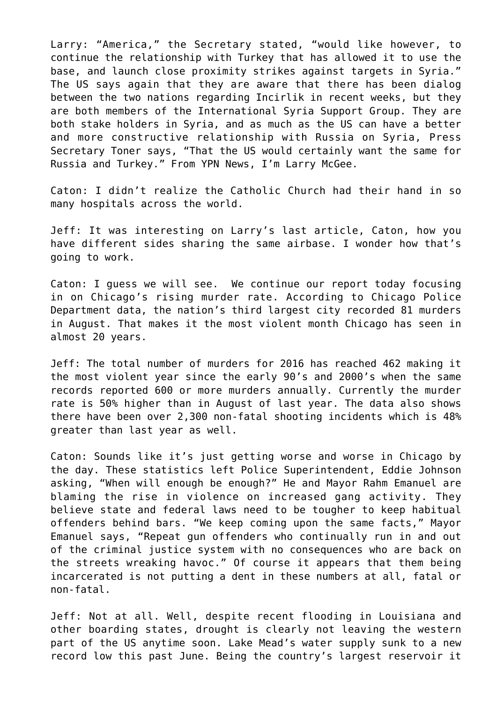Larry: "America," the Secretary stated, "would like however, to continue the relationship with Turkey that has allowed it to use the base, and launch close proximity strikes against targets in Syria." The US says again that they are aware that there has been dialog between the two nations regarding Incirlik in recent weeks, but they are both members of the International Syria Support Group. They are both stake holders in Syria, and as much as the US can have a better and more constructive relationship with Russia on Syria, Press Secretary Toner says, "That the US would certainly want the same for Russia and Turkey." From YPN News, I'm Larry McGee.

Caton: I didn't realize the Catholic Church had their hand in so many hospitals across the world.

Jeff: It was interesting on Larry's last article, Caton, how you have different sides sharing the same airbase. I wonder how that's going to work.

Caton: I guess we will see. We continue our report today focusing in on Chicago's rising murder rate. According to Chicago Police Department data, the nation's third largest city recorded 81 murders in August. That makes it the most violent month Chicago has seen in almost 20 years.

Jeff: The total number of murders for 2016 has reached 462 making it the most violent year since the early 90's and 2000's when the same records reported 600 or more murders annually. Currently the murder rate is 50% higher than in August of last year. The data also shows there have been over 2,300 non-fatal shooting incidents which is 48% greater than last year as well.

Caton: Sounds like it's just getting worse and worse in Chicago by the day. These statistics left Police Superintendent, Eddie Johnson asking, "When will enough be enough?" He and Mayor Rahm Emanuel are blaming the rise in violence on increased gang activity. They believe state and federal laws need to be tougher to keep habitual offenders behind bars. "We keep coming upon the same facts," Mayor Emanuel says, "Repeat gun offenders who continually run in and out of the criminal justice system with no consequences who are back on the streets wreaking havoc." Of course it appears that them being incarcerated is not putting a dent in these numbers at all, fatal or non-fatal.

Jeff: Not at all. Well, despite recent flooding in Louisiana and other boarding states, drought is clearly not leaving the western part of the US anytime soon. Lake Mead's water supply sunk to a new record low this past June. Being the country's largest reservoir it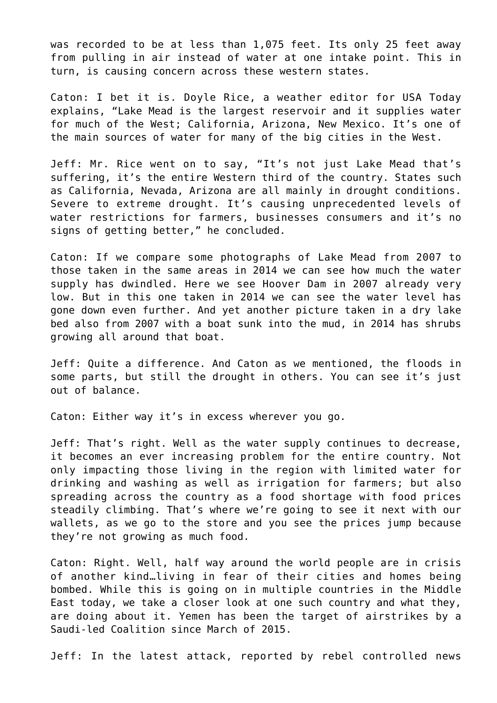was recorded to be at less than 1,075 feet. Its only 25 feet away from pulling in air instead of water at one intake point. This in turn, is causing concern across these western states.

Caton: I bet it is. Doyle Rice, a weather editor for USA Today explains, "Lake Mead is the largest reservoir and it supplies water for much of the West; California, Arizona, New Mexico. It's one of the main sources of water for many of the big cities in the West.

Jeff: Mr. Rice went on to say, "It's not just Lake Mead that's suffering, it's the entire Western third of the country. States such as California, Nevada, Arizona are all mainly in drought conditions. Severe to extreme drought. It's causing unprecedented levels of water restrictions for farmers, businesses consumers and it's no signs of getting better," he concluded.

Caton: If we compare some photographs of Lake Mead from 2007 to those taken in the same areas in 2014 we can see how much the water supply has dwindled. Here we see Hoover Dam in 2007 already very low. But in this one taken in 2014 we can see the water level has gone down even further. And yet another picture taken in a dry lake bed also from 2007 with a boat sunk into the mud, in 2014 has shrubs growing all around that boat.

Jeff: Quite a difference. And Caton as we mentioned, the floods in some parts, but still the drought in others. You can see it's just out of balance.

Caton: Either way it's in excess wherever you go.

Jeff: That's right. Well as the water supply continues to decrease, it becomes an ever increasing problem for the entire country. Not only impacting those living in the region with limited water for drinking and washing as well as irrigation for farmers; but also spreading across the country as a food shortage with food prices steadily climbing. That's where we're going to see it next with our wallets, as we go to the store and you see the prices jump because they're not growing as much food.

Caton: Right. Well, half way around the world people are in crisis of another kind…living in fear of their cities and homes being bombed. While this is going on in multiple countries in the Middle East today, we take a closer look at one such country and what they, are doing about it. Yemen has been the target of airstrikes by a Saudi-led Coalition since March of 2015.

Jeff: In the latest attack, reported by rebel controlled news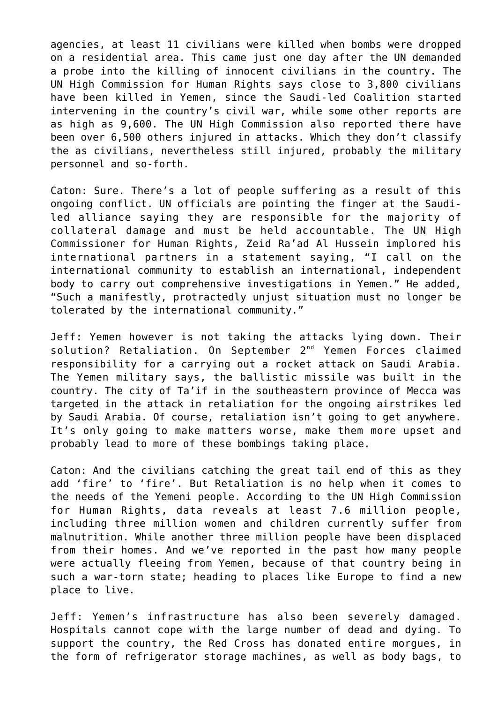agencies, at least 11 civilians were killed when bombs were dropped on a residential area. This came just one day after the UN demanded a probe into the killing of innocent civilians in the country. The UN High Commission for Human Rights says close to 3,800 civilians have been killed in Yemen, since the Saudi-led Coalition started intervening in the country's civil war, while some other reports are as high as 9,600. The UN High Commission also reported there have been over 6,500 others injured in attacks. Which they don't classify the as civilians, nevertheless still injured, probably the military personnel and so-forth.

Caton: Sure. There's a lot of people suffering as a result of this ongoing conflict. UN officials are pointing the finger at the Saudiled alliance saying they are responsible for the majority of collateral damage and must be held accountable. The UN High Commissioner for Human Rights, Zeid Ra'ad Al Hussein implored his international partners in a statement saying, "I call on the international community to establish an international, independent body to carry out comprehensive investigations in Yemen." He added, "Such a manifestly, protractedly unjust situation must no longer be tolerated by the international community."

Jeff: Yemen however is not taking the attacks lying down. Their solution? Retaliation. On September 2<sup>nd</sup> Yemen Forces claimed responsibility for a carrying out a rocket attack on Saudi Arabia. The Yemen military says, the ballistic missile was built in the country. The city of Ta'if in the southeastern province of Mecca was targeted in the attack in retaliation for the ongoing airstrikes led by Saudi Arabia. Of course, retaliation isn't going to get anywhere. It's only going to make matters worse, make them more upset and probably lead to more of these bombings taking place.

Caton: And the civilians catching the great tail end of this as they add 'fire' to 'fire'. But Retaliation is no help when it comes to the needs of the Yemeni people. According to the UN High Commission for Human Rights, data reveals at least 7.6 million people, including three million women and children currently suffer from malnutrition. While another three million people have been displaced from their homes. And we've reported in the past how many people were actually fleeing from Yemen, because of that country being in such a war-torn state; heading to places like Europe to find a new place to live.

Jeff: Yemen's infrastructure has also been severely damaged. Hospitals cannot cope with the large number of dead and dying. To support the country, the Red Cross has donated entire morgues, in the form of refrigerator storage machines, as well as body bags, to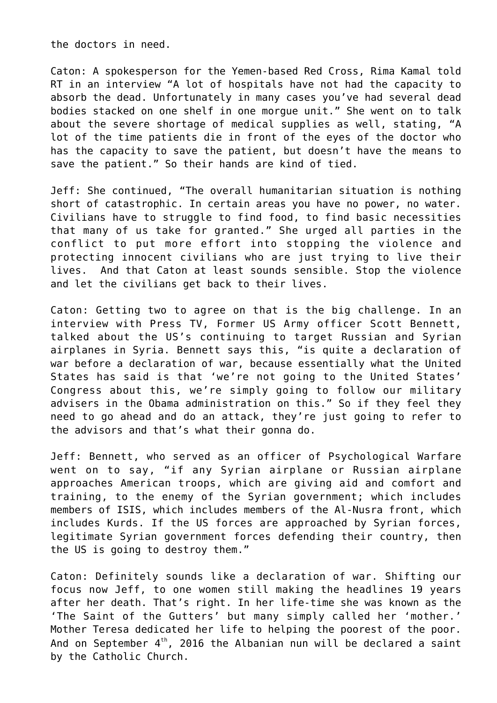the doctors in need.

Caton: A spokesperson for the Yemen-based Red Cross, Rima Kamal told RT in an interview "A lot of hospitals have not had the capacity to absorb the dead. Unfortunately in many cases you've had several dead bodies stacked on one shelf in one morgue unit." She went on to talk about the severe shortage of medical supplies as well, stating, "A lot of the time patients die in front of the eyes of the doctor who has the capacity to save the patient, but doesn't have the means to save the patient." So their hands are kind of tied.

Jeff: She continued, "The overall humanitarian situation is nothing short of catastrophic. In certain areas you have no power, no water. Civilians have to struggle to find food, to find basic necessities that many of us take for granted." She urged all parties in the conflict to put more effort into stopping the violence and protecting innocent civilians who are just trying to live their lives. And that Caton at least sounds sensible. Stop the violence and let the civilians get back to their lives.

Caton: Getting two to agree on that is the big challenge. In an interview with Press TV, Former US Army officer Scott Bennett, talked about the US's continuing to target Russian and Syrian airplanes in Syria. Bennett says this, "is quite a declaration of war before a declaration of war, because essentially what the United States has said is that 'we're not going to the United States' Congress about this, we're simply going to follow our military advisers in the Obama administration on this." So if they feel they need to go ahead and do an attack, they're just going to refer to the advisors and that's what their gonna do.

Jeff: Bennett, who served as an officer of Psychological Warfare went on to say, "if any Syrian airplane or Russian airplane approaches American troops, which are giving aid and comfort and training, to the enemy of the Syrian government; which includes members of ISIS, which includes members of the Al-Nusra front, which includes Kurds. If the US forces are approached by Syrian forces, legitimate Syrian government forces defending their country, then the US is going to destroy them."

Caton: Definitely sounds like a declaration of war. Shifting our focus now Jeff, to one women still making the headlines 19 years after her death. That's right. In her life-time she was known as the 'The Saint of the Gutters' but many simply called her 'mother.' Mother Teresa dedicated her life to helping the poorest of the poor. And on September  $4<sup>th</sup>$ , 2016 the Albanian nun will be declared a saint by the Catholic Church.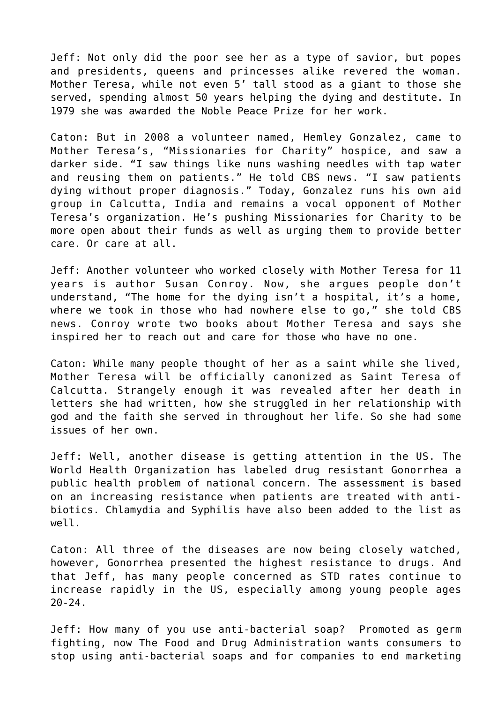Jeff: Not only did the poor see her as a type of savior, but popes and presidents, queens and princesses alike revered the woman. Mother Teresa, while not even 5' tall stood as a giant to those she served, spending almost 50 years helping the dying and destitute. In 1979 she was awarded the Noble Peace Prize for her work.

Caton: But in 2008 a volunteer named, Hemley Gonzalez, came to Mother Teresa's, "Missionaries for Charity" hospice, and saw a darker side. "I saw things like nuns washing needles with tap water and reusing them on patients." He told CBS news. "I saw patients dying without proper diagnosis." Today, Gonzalez runs his own aid group in Calcutta, India and remains a vocal opponent of Mother Teresa's organization. He's pushing Missionaries for Charity to be more open about their funds as well as urging them to provide better care. Or care at all.

Jeff: Another volunteer who worked closely with Mother Teresa for 11 years is author Susan Conroy. Now, she argues people don't understand, "The home for the dying isn't a hospital, it's a home, where we took in those who had nowhere else to go," she told CBS news. Conroy wrote two books about Mother Teresa and says she inspired her to reach out and care for those who have no one.

Caton: While many people thought of her as a saint while she lived, Mother Teresa will be officially canonized as Saint Teresa of Calcutta. Strangely enough it was revealed after her death in letters she had written, how she struggled in her relationship with god and the faith she served in throughout her life. So she had some issues of her own.

Jeff: Well, another disease is getting attention in the US. The World Health Organization has labeled drug resistant Gonorrhea a public health problem of national concern. The assessment is based on an increasing resistance when patients are treated with antibiotics. Chlamydia and Syphilis have also been added to the list as well.

Caton: All three of the diseases are now being closely watched, however, Gonorrhea presented the highest resistance to drugs. And that Jeff, has many people concerned as STD rates continue to increase rapidly in the US, especially among young people ages 20-24.

Jeff: How many of you use anti-bacterial soap? Promoted as germ fighting, now The Food and Drug Administration wants consumers to stop using anti-bacterial soaps and for companies to end marketing